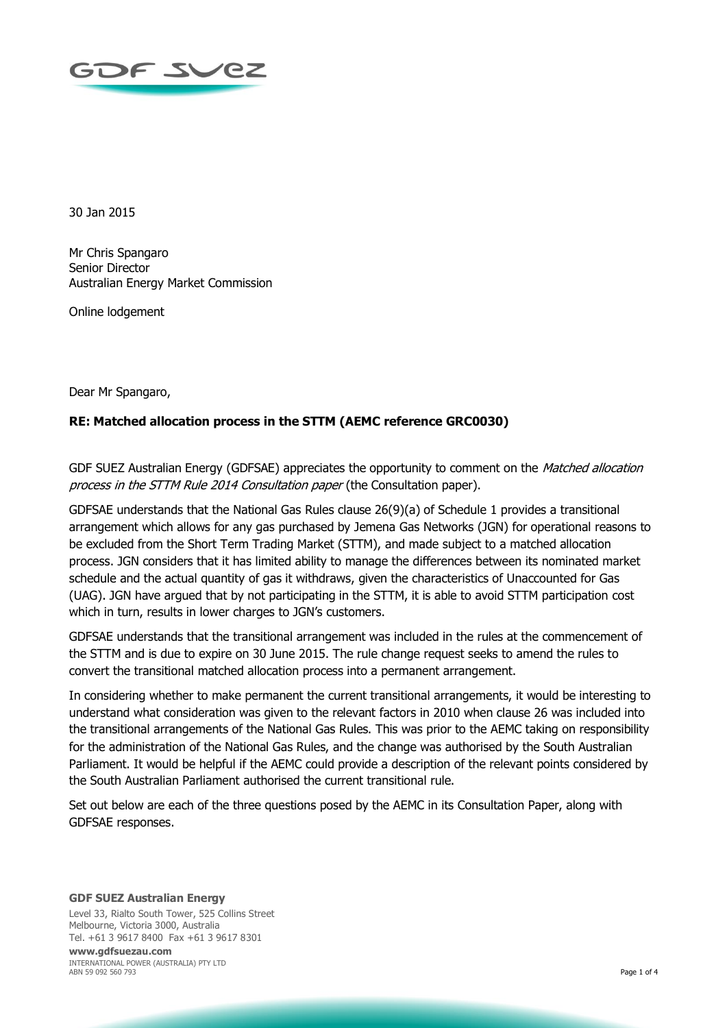

30 Jan 2015

Mr Chris Spangaro Senior Director Australian Energy Market Commission

Online lodgement

Dear Mr Spangaro,

## **RE: Matched allocation process in the STTM (AEMC reference GRC0030)**

GDF SUEZ Australian Energy (GDFSAE) appreciates the opportunity to comment on the *Matched allocation* process in the STTM Rule 2014 Consultation paper (the Consultation paper).

GDFSAE understands that the National Gas Rules clause 26(9)(a) of Schedule 1 provides a transitional arrangement which allows for any gas purchased by Jemena Gas Networks (JGN) for operational reasons to be excluded from the Short Term Trading Market (STTM), and made subject to a matched allocation process. JGN considers that it has limited ability to manage the differences between its nominated market schedule and the actual quantity of gas it withdraws, given the characteristics of Unaccounted for Gas (UAG). JGN have argued that by not participating in the STTM, it is able to avoid STTM participation cost which in turn, results in lower charges to JGN's customers.

GDFSAE understands that the transitional arrangement was included in the rules at the commencement of the STTM and is due to expire on 30 June 2015. The rule change request seeks to amend the rules to convert the transitional matched allocation process into a permanent arrangement.

In considering whether to make permanent the current transitional arrangements, it would be interesting to understand what consideration was given to the relevant factors in 2010 when clause 26 was included into the transitional arrangements of the National Gas Rules. This was prior to the AEMC taking on responsibility for the administration of the National Gas Rules, and the change was authorised by the South Australian Parliament. It would be helpful if the AEMC could provide a description of the relevant points considered by the South Australian Parliament authorised the current transitional rule.

Set out below are each of the three questions posed by the AEMC in its Consultation Paper, along with GDFSAE responses.

## **GDF SUEZ Australian Energy**

Level 33, Rialto South Tower, 525 Collins Street Melbourne, Victoria 3000, Australia Tel. +61 3 9617 8400 Fax +61 3 9617 8301

**www.gdfsuezau.com** INTERNATIONAL POWER (AUSTRALIA) PTY LTD ABN 59 092 560 793 Page 1 of 4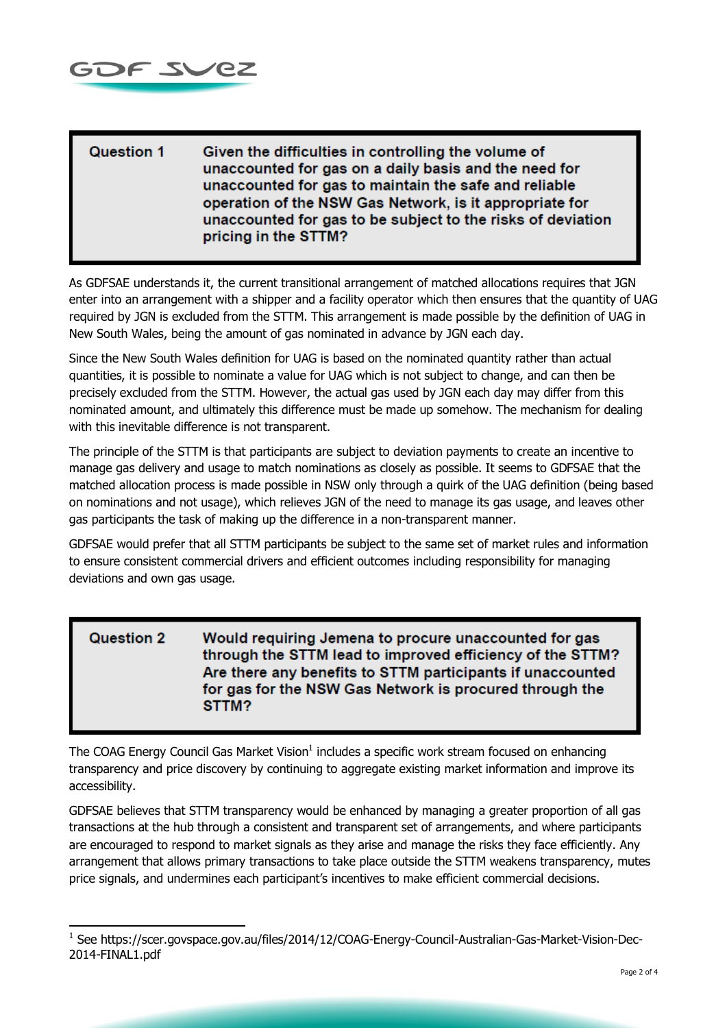

-

## Question 1 Given the difficulties in controlling the volume of unaccounted for gas on a daily basis and the need for unaccounted for gas to maintain the safe and reliable operation of the NSW Gas Network, is it appropriate for unaccounted for gas to be subject to the risks of deviation pricing in the STTM?

As GDFSAE understands it, the current transitional arrangement of matched allocations requires that JGN enter into an arrangement with a shipper and a facility operator which then ensures that the quantity of UAG required by JGN is excluded from the STTM. This arrangement is made possible by the definition of UAG in New South Wales, being the amount of gas nominated in advance by JGN each day.

Since the New South Wales definition for UAG is based on the nominated quantity rather than actual quantities, it is possible to nominate a value for UAG which is not subject to change, and can then be precisely excluded from the STTM. However, the actual gas used by JGN each day may differ from this nominated amount, and ultimately this difference must be made up somehow. The mechanism for dealing with this inevitable difference is not transparent.

The principle of the STTM is that participants are subject to deviation payments to create an incentive to manage gas delivery and usage to match nominations as closely as possible. It seems to GDFSAE that the matched allocation process is made possible in NSW only through a quirk of the UAG definition (being based on nominations and not usage), which relieves JGN of the need to manage its gas usage, and leaves other gas participants the task of making up the difference in a non-transparent manner.

GDFSAE would prefer that all STTM participants be subject to the same set of market rules and information to ensure consistent commercial drivers and efficient outcomes including responsibility for managing deviations and own gas usage.

**Question 2** Would requiring Jemena to procure unaccounted for gas through the STTM lead to improved efficiency of the STTM? Are there any benefits to STTM participants if unaccounted for gas for the NSW Gas Network is procured through the STTM?

The COAG Energy Council Gas Market Vision<sup>1</sup> includes a specific work stream focused on enhancing transparency and price discovery by continuing to aggregate existing market information and improve its accessibility.

GDFSAE believes that STTM transparency would be enhanced by managing a greater proportion of all gas transactions at the hub through a consistent and transparent set of arrangements, and where participants are encouraged to respond to market signals as they arise and manage the risks they face efficiently. Any arrangement that allows primary transactions to take place outside the STTM weakens transparency, mutes price signals, and undermines each participant's incentives to make efficient commercial decisions.

<sup>&</sup>lt;sup>1</sup> See https://scer.govspace.gov.au/files/2014/12/COAG-Energy-Council-Australian-Gas-Market-Vision-Dec-2014-FINAL1.pdf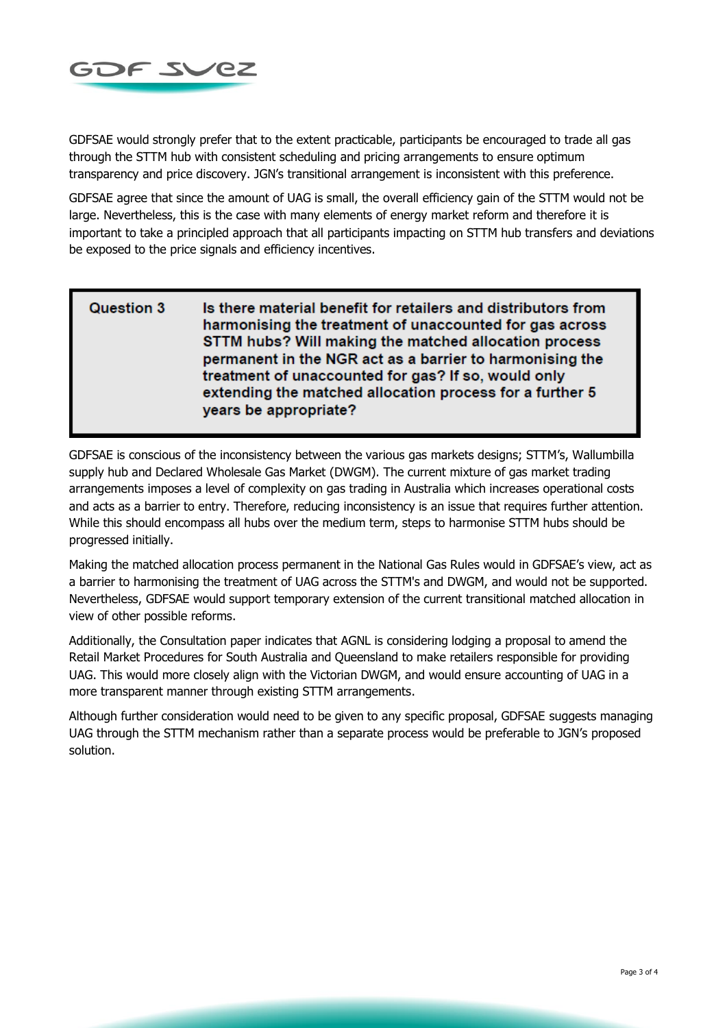

GDFSAE would strongly prefer that to the extent practicable, participants be encouraged to trade all gas through the STTM hub with consistent scheduling and pricing arrangements to ensure optimum transparency and price discovery. JGN's transitional arrangement is inconsistent with this preference.

GDFSAE agree that since the amount of UAG is small, the overall efficiency gain of the STTM would not be large. Nevertheless, this is the case with many elements of energy market reform and therefore it is important to take a principled approach that all participants impacting on STTM hub transfers and deviations be exposed to the price signals and efficiency incentives.

## **Question 3** Is there material benefit for retailers and distributors from harmonising the treatment of unaccounted for gas across STTM hubs? Will making the matched allocation process permanent in the NGR act as a barrier to harmonising the treatment of unaccounted for gas? If so, would only extending the matched allocation process for a further 5 years be appropriate?

GDFSAE is conscious of the inconsistency between the various gas markets designs; STTM's, Wallumbilla supply hub and Declared Wholesale Gas Market (DWGM). The current mixture of gas market trading arrangements imposes a level of complexity on gas trading in Australia which increases operational costs and acts as a barrier to entry. Therefore, reducing inconsistency is an issue that requires further attention. While this should encompass all hubs over the medium term, steps to harmonise STTM hubs should be progressed initially.

Making the matched allocation process permanent in the National Gas Rules would in GDFSAE's view, act as a barrier to harmonising the treatment of UAG across the STTM's and DWGM, and would not be supported. Nevertheless, GDFSAE would support temporary extension of the current transitional matched allocation in view of other possible reforms.

Additionally, the Consultation paper indicates that AGNL is considering lodging a proposal to amend the Retail Market Procedures for South Australia and Queensland to make retailers responsible for providing UAG. This would more closely align with the Victorian DWGM, and would ensure accounting of UAG in a more transparent manner through existing STTM arrangements.

Although further consideration would need to be given to any specific proposal, GDFSAE suggests managing UAG through the STTM mechanism rather than a separate process would be preferable to JGN's proposed solution.